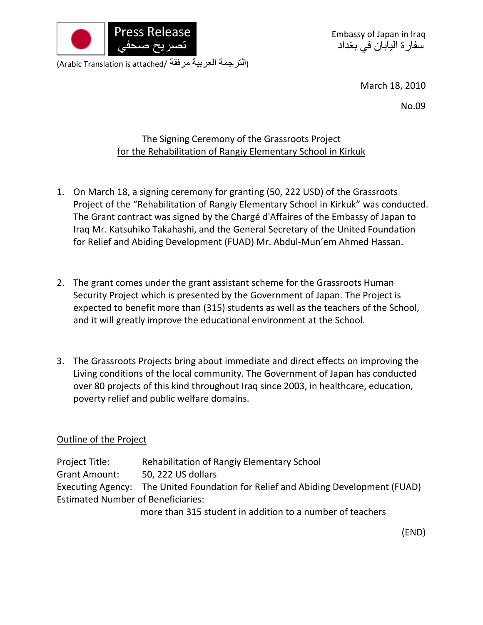

Embassy of Japan in Iraq سفارة اليابان في بغداد

(التر جمة العربية مرفقة /Arabic Translation is attached)

March 18, 2010

No.09

## The Signing Ceremony of the Grassroots Project for the Rehabilitation of Rangiy Elementary School in Kirkuk

- 1. On March 18, a signing ceremony for granting (50, 222 USD) of the Grassroots Project of the "Rehabilitation of Rangiy Elementary School in Kirkuk" was conducted. The Grant contract was signed by the Chargé d'Affaires of the Embassy of Japan to Iraq Mr. Katsuhiko Takahashi, and the General Secretary of the United Foundation for Relief and Abiding Development (FUAD) Mr. Abdul‐Mun'em Ahmed Hassan.
- 2. The grant comes under the grant assistant scheme for the Grassroots Human Security Project which is presented by the Government of Japan. The Project is expected to benefit more than (315) students as well as the teachers of the School, and it will greatly improve the educational environment at the School.
- 3. The Grassroots Projects bring about immediate and direct effects on improving the Living conditions of the local community. The Government of Japan has conducted over 80 projects of this kind throughout Iraq since 2003, in healthcare, education, poverty relief and public welfare domains.

## Outline of the Project

Project Title: Rehabilitation of Rangiy Elementary School Grant Amount: 50, 222 US dollars Executing Agency: The United Foundation for Relief and Abiding Development (FUAD) Estimated Number of Beneficiaries:

more than 315 student in addition to a number of teachers

(END)